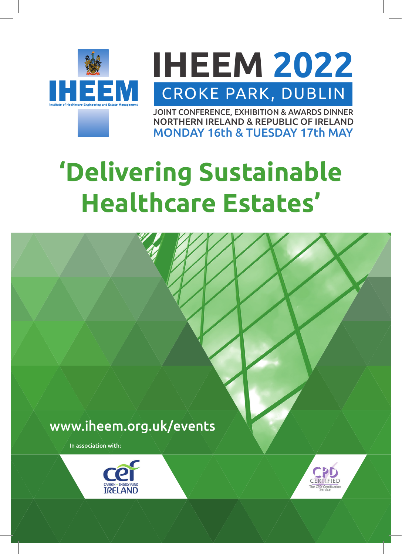

**IHEEM 2022** CROKE PARK, DUBLIN

JOINT CONFERENCE, EXHIBITION & AWARDS DINNER NORTHERN IRELAND & REPUBLIC OF IRELAND MONDAY 16th & TUESDAY 17th MAY

## **'Delivering Sustainable Healthcare Estates'**

# www.iheem.org.uk/eventsIn association with: **CARBON + ENERGY FUR**